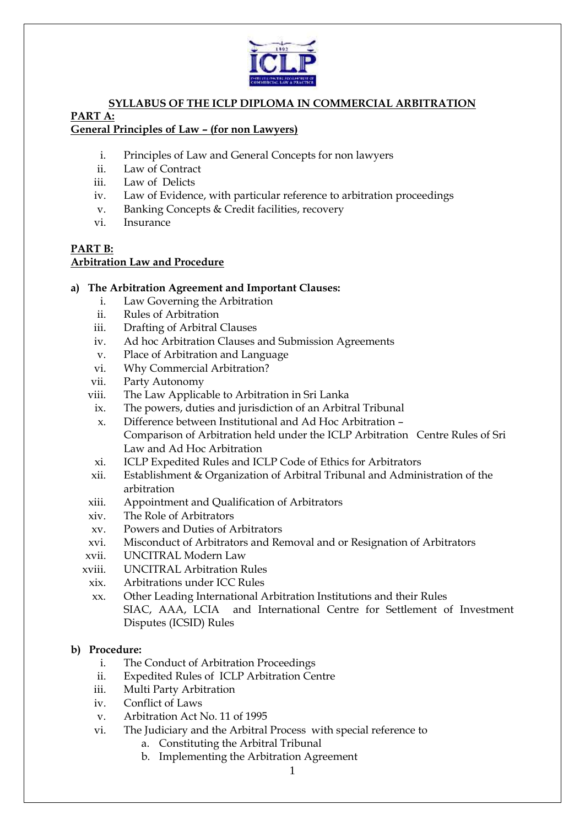

## **SYLLABUS OF THE ICLP DIPLOMA IN COMMERCIAL ARBITRATION PART A: General Principles of Law – (for non Lawyers)**

- i. Principles of Law and General Concepts for non lawyers
- ii. Law of Contract
- iii. Law of Delicts
- iv. Law of Evidence, with particular reference to arbitration proceedings
- v. Banking Concepts & Credit facilities, recovery
- vi. Insurance

### **PART B: Arbitration Law and Procedure**

## **a) The Arbitration Agreement and Important Clauses:**

- i. Law Governing the Arbitration
- ii. Rules of Arbitration
- iii. Drafting of Arbitral Clauses
- iv. Ad hoc Arbitration Clauses and Submission Agreements
- v. Place of Arbitration and Language
- vi. Why Commercial Arbitration?
- vii. Party Autonomy
- viii. The Law Applicable to Arbitration in Sri Lanka
	- ix. The powers, duties and jurisdiction of an Arbitral Tribunal
	- x. Difference between Institutional and Ad Hoc Arbitration Comparison of Arbitration held under the ICLP Arbitration Centre Rules of Sri Law and Ad Hoc Arbitration
- xi. ICLP Expedited Rules and ICLP Code of Ethics for Arbitrators
- xii. Establishment & Organization of Arbitral Tribunal and Administration of the arbitration
- xiii. Appointment and Qualification of Arbitrators
- xiv. The Role of Arbitrators
- xv. Powers and Duties of Arbitrators
- xvi. Misconduct of Arbitrators and Removal and or Resignation of Arbitrators
- xvii. UNCITRAL Modern Law
- xviii. UNCITRAL Arbitration Rules
	- xix. Arbitrations under ICC Rules
	- xx. Other Leading International Arbitration Institutions and their Rules SIAC, AAA, LCIA and International Centre for Settlement of Investment Disputes (ICSID) Rules

## **b) Procedure:**

- i. The Conduct of Arbitration Proceedings
- ii. Expedited Rules of ICLP Arbitration Centre
- iii. Multi Party Arbitration
- iv. Conflict of Laws
- v. Arbitration Act No. 11 of 1995
- vi. The Judiciary and the Arbitral Process with special reference to
	- a. Constituting the Arbitral Tribunal
	- b. Implementing the Arbitration Agreement